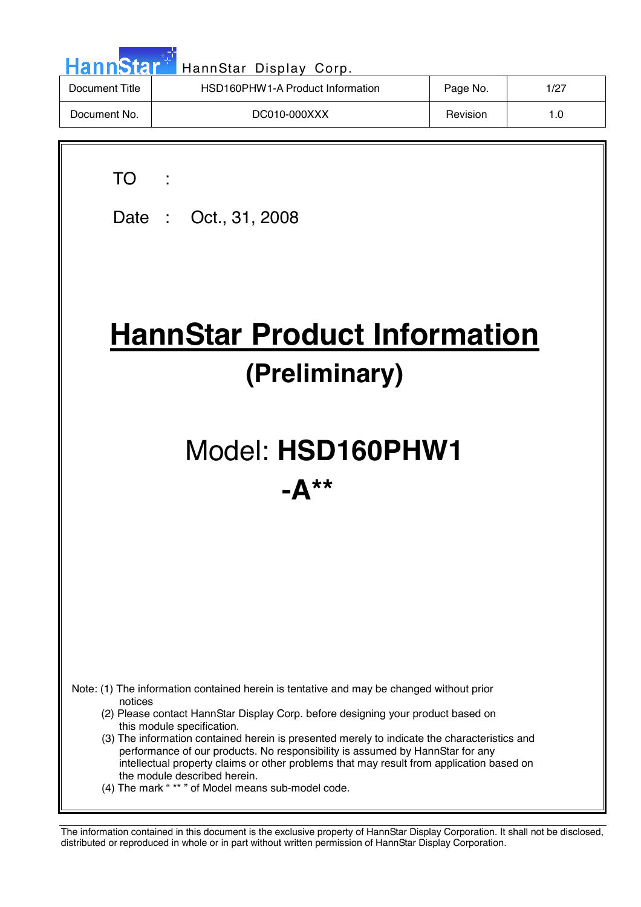| <b>HannStar</b> | HannStar Display Corp.           |          |      |
|-----------------|----------------------------------|----------|------|
| Document Title  | HSD160PHW1-A Product Information | Page No. | 1/27 |
| Document No.    | DC010-000XXX                     | Revision | 1.0  |

| TO TO<br>Date: Oct., 31, 2008                                                                                                                                                                                                                                                                                                                                                                                                                                                                                                                                                           |
|-----------------------------------------------------------------------------------------------------------------------------------------------------------------------------------------------------------------------------------------------------------------------------------------------------------------------------------------------------------------------------------------------------------------------------------------------------------------------------------------------------------------------------------------------------------------------------------------|
| <b>HannStar Product Information</b><br>(Preliminary)                                                                                                                                                                                                                                                                                                                                                                                                                                                                                                                                    |
| Model: HSD160PHW1<br>$-\mathbf{\Delta}$ **                                                                                                                                                                                                                                                                                                                                                                                                                                                                                                                                              |
| Note: (1) The information contained herein is tentative and may be changed without prior<br>notices<br>(2) Please contact HannStar Display Corp. before designing your product based on<br>this module specification.<br>(3) The information contained herein is presented merely to indicate the characteristics and<br>performance of our products. No responsibility is assumed by HannStar for any<br>intellectual property claims or other problems that may result from application based on<br>the module described herein.<br>(4) The mark "** " of Model means sub-model code. |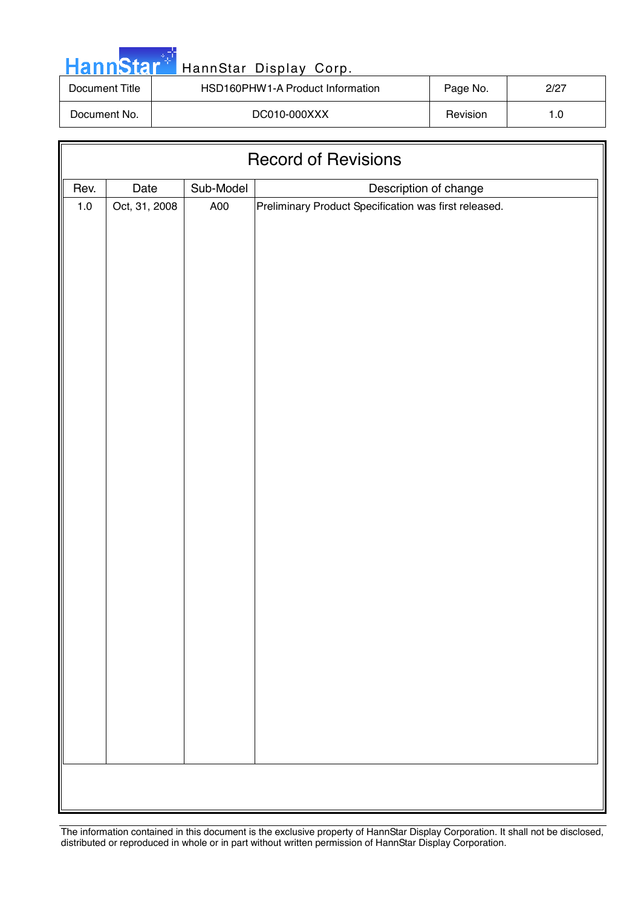|  |  | <b>HannStar</b> * |  |
|--|--|-------------------|--|
|  |  |                   |  |
|  |  |                   |  |

# HannStar Display Corp.

| Document Title | HSD160PHW1-A Product Information | Page No. | 2/27 |
|----------------|----------------------------------|----------|------|
| Document No.   | DC010-000XXX                     | Revision | ı .O |

| <b>Record of Revisions</b> |               |           |                                                                                |
|----------------------------|---------------|-----------|--------------------------------------------------------------------------------|
| Rev.                       | Date          | Sub-Model |                                                                                |
| $1.0\,$                    | Oct, 31, 2008 | A00       | Description of change<br>Preliminary Product Specification was first released. |
|                            |               |           |                                                                                |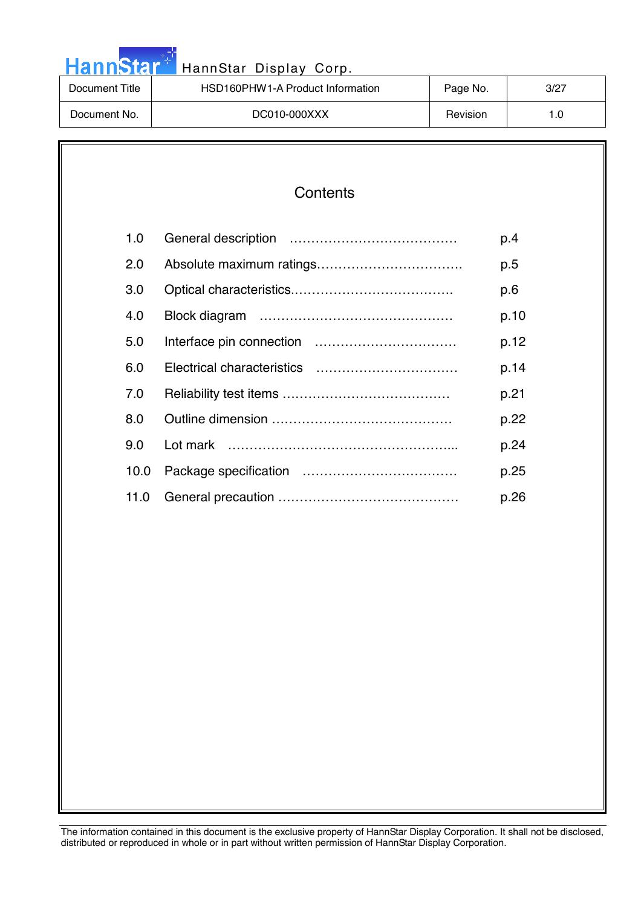| HannStar <sup>+</sup> | HannStar Display Corp.           |          |      |
|-----------------------|----------------------------------|----------|------|
| Document Title        | HSD160PHW1-A Product Information | Page No. | 3/27 |
| Document No.          | DC010-000XXX                     | Revision | 1.0  |

an an A

| Contents |
|----------|
|----------|

| 1.0  | p.4  |
|------|------|
| 2.0  | p.5  |
| 3.0  | p.6  |
| 4.0  | p.10 |
| 5.0  | p.12 |
| 6.0  | p.14 |
| 7.0  | p.21 |
| 8.0  | p.22 |
| 9.0  | p.24 |
| 10.0 | p.25 |
| 11.0 | p.26 |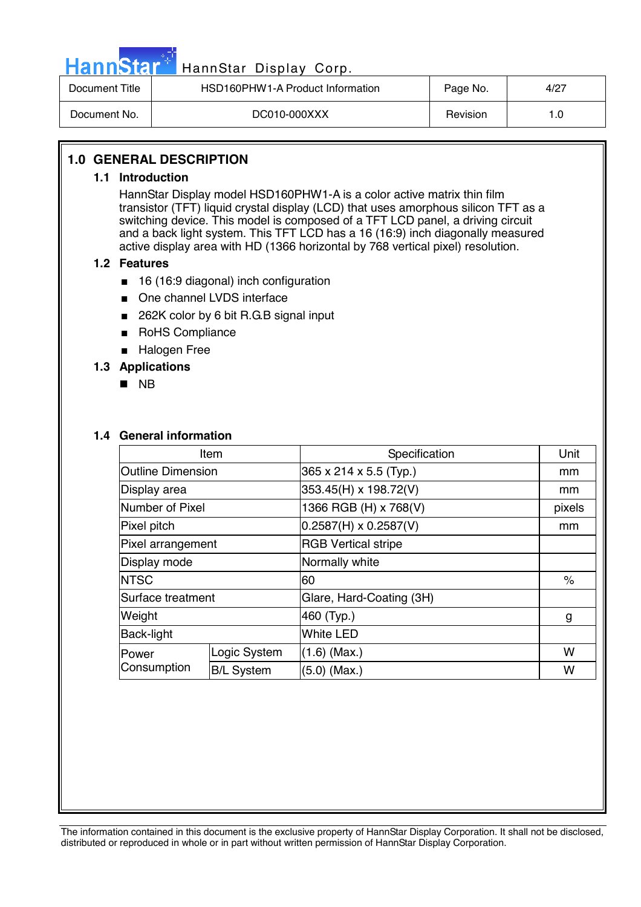

# HannStar Display Corp.

| Document Title | HSD160PHW1-A Product Information | Page No. | 4/27 |
|----------------|----------------------------------|----------|------|
| Document No.   | DC010-000XXX                     | Revision | 1.0  |

## **1.0 GENERAL DESCRIPTION**

#### **1.1 Introduction**

HannStar Display model HSD160PHW1-A is a color active matrix thin film transistor (TFT) liquid crystal display (LCD) that uses amorphous silicon TFT as a switching device. This model is composed of a TFT LCD panel, a driving circuit and a back light system. This TFT LCD has a 16 (16:9) inch diagonally measured active display area with HD (1366 horizontal by 768 vertical pixel) resolution.

#### **1.2 Features**

- 16 (16:9 diagonal) inch configuration
- One channel LVDS interface
- 262K color by 6 bit R.G.B signal input
- RoHS Compliance
- Halogen Free

### **1.3 Applications**

**NB** 

#### **1.4 General information**

| Item                     |                   | Specification                | Unit   |
|--------------------------|-------------------|------------------------------|--------|
| <b>Outline Dimension</b> |                   | 365 x 214 x 5.5 (Typ.)       | mm     |
| Display area             |                   | 353.45(H) x 198.72(V)        | mm     |
| Number of Pixel          |                   | 1366 RGB (H) x 768(V)        | pixels |
| Pixel pitch              |                   | $0.2587(H) \times 0.2587(V)$ | mm     |
| Pixel arrangement        |                   | <b>RGB Vertical stripe</b>   |        |
| Display mode             |                   | Normally white               |        |
| <b>NTSC</b>              |                   | 60                           | %      |
| Surface treatment        |                   | Glare, Hard-Coating (3H)     |        |
| Weight                   |                   | 460 (Typ.)                   | g      |
| <b>Back-light</b>        |                   | <b>White LED</b>             |        |
| lPower                   | Logic System      | $(1.6)$ (Max.)               | w      |
| Consumption              | <b>B/L System</b> | $(5.0)$ (Max.)               | W      |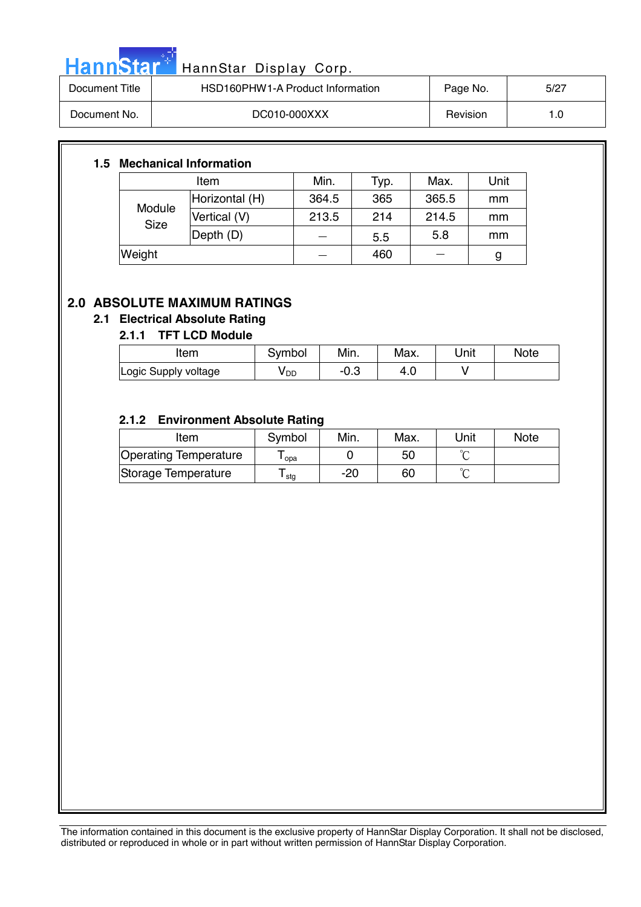|  | <b>sannstal</b> | H٤ |
|--|-----------------|----|

# <mark>itar HannStar Display Corp.</mark> [19] HannStar Display Corp.

| Document Title | HSD160PHW1-A Product Information | Page No. | 5/27 |
|----------------|----------------------------------|----------|------|
| Document No.   | DC010-000XXX                     | Revision |      |

### **1.5 Mechanical Information**

|                       | Item           | Min.  | Typ. | Max.  | Unit |
|-----------------------|----------------|-------|------|-------|------|
|                       | Horizontal (H) | 364.5 | 365  | 365.5 | mm   |
| Module<br><b>Size</b> | Vertical (V)   | 213.5 | 214  | 214.5 | mm   |
|                       | Depth (D)      |       | 5.5  | 5.8   | mm   |
| Weight                |                |       | 460  |       | g    |

# **2.0 ABSOLUTE MAXIMUM RATINGS**

# **2.1 Electrical Absolute Rating**

### **2.1.1 TFT LCD Module**

| ltem                 | Svmbol          | Min. | Max. | Unit | Note |
|----------------------|-----------------|------|------|------|------|
| Logic Supply voltage | V <sub>DD</sub> | −∪.ა | 4.U  |      |      |

## **2.1.2 Environment Absolute Rating**

| Item                  | Symbol | Min. | Max. | Unit | <b>Note</b> |
|-----------------------|--------|------|------|------|-------------|
| Operating Temperature | opa    |      | 50   |      |             |
| Storage Temperature   | l stg  | -20  | 60   |      |             |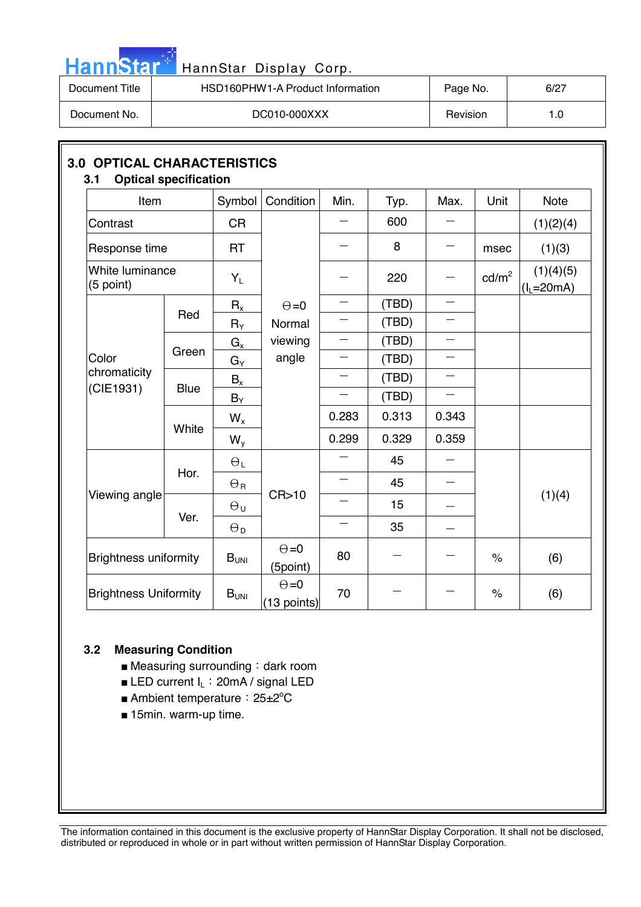| HannStar*      | HannStar Display Corp.           |          |      |
|----------------|----------------------------------|----------|------|
| Document Title | HSD160PHW1-A Product Information | Page No. | 6/27 |
| Document No.   | DC010-000XXX                     | Revision | 1.0  |

| Item                         |             | Symbol                    | Condition                     | Min.                     | Typ.  | Max.                     | Unit                 | <b>Note</b>               |
|------------------------------|-------------|---------------------------|-------------------------------|--------------------------|-------|--------------------------|----------------------|---------------------------|
| Contrast                     |             | <b>CR</b>                 |                               |                          | 600   |                          |                      | (1)(2)(4)                 |
| Response time                |             | <b>RT</b>                 |                               |                          | 8     |                          | msec                 | (1)(3)                    |
| White luminance<br>(5 point) |             | $Y_L$                     |                               |                          | 220   |                          | $\text{cd/m}^2$      | (1)(4)(5)<br>$(I_L=20mA)$ |
|                              |             | $R_{x}$                   | $\Theta = 0$                  |                          | (TBD) |                          |                      |                           |
|                              | Red         | $R_Y$                     | Normal                        |                          | (TBD) | $\qquad \qquad$          |                      |                           |
|                              |             | $G_{x}$                   | viewing                       |                          | (TBD) | $\overline{\phantom{0}}$ |                      |                           |
| Color                        | Green       | $G_Y$                     | angle                         |                          | (TBD) | $\equiv$                 |                      |                           |
| chromaticity<br>(CIE1931)    | <b>Blue</b> | $\mathsf{B}_{\mathsf{x}}$ |                               |                          | (TBD) |                          |                      |                           |
|                              |             | $B_Y$                     |                               | $\equiv$                 | (TBD) | $\qquad \qquad$          |                      |                           |
|                              |             | $W_{x}$                   |                               | 0.283                    | 0.313 | 0.343                    |                      |                           |
|                              | White       | $W_{y}$                   |                               | 0.299                    | 0.329 | 0.359                    |                      |                           |
|                              |             | $\Theta_L$                |                               |                          | 45    |                          |                      |                           |
|                              | Hor.        | $\Theta$ R                | CR > 10                       | $\overline{\phantom{0}}$ | 45    |                          |                      |                           |
| Viewing angle                |             | $\Theta_{U}$              |                               |                          | 15    |                          | (1)(4)               |                           |
|                              | Ver.        | $\Theta_{\mathsf{D}}$     |                               | $\overline{\phantom{0}}$ | 35    |                          |                      |                           |
| <b>Brightness uniformity</b> |             | B <sub>UNI</sub>          | $\Theta = 0$<br>(5point)      | 80                       |       |                          | $\frac{1}{\sqrt{2}}$ | (6)                       |
| <b>Brightness Uniformity</b> |             | $B_{UNI}$                 | $\Theta = 0$<br>$(13$ points) | 70                       |       |                          | $\%$                 | (6)                       |

### **3.2 Measuring Condition**

**Contract** 

- Measuring surrounding: dark room
- **E** LED current  $I_L$ : 20mA / signal LED
- Ambient temperature: 25±2°C
- 15min. warm-up time.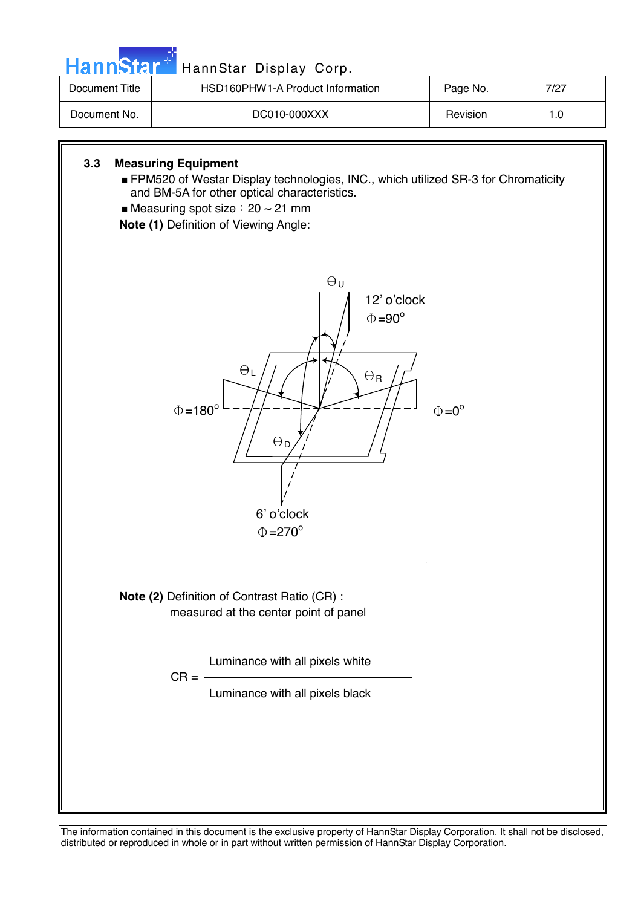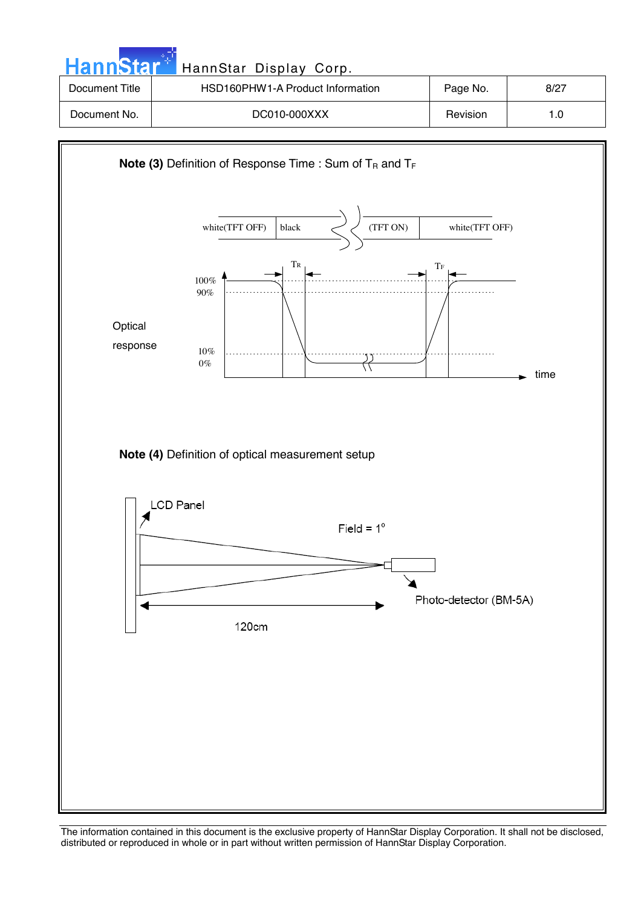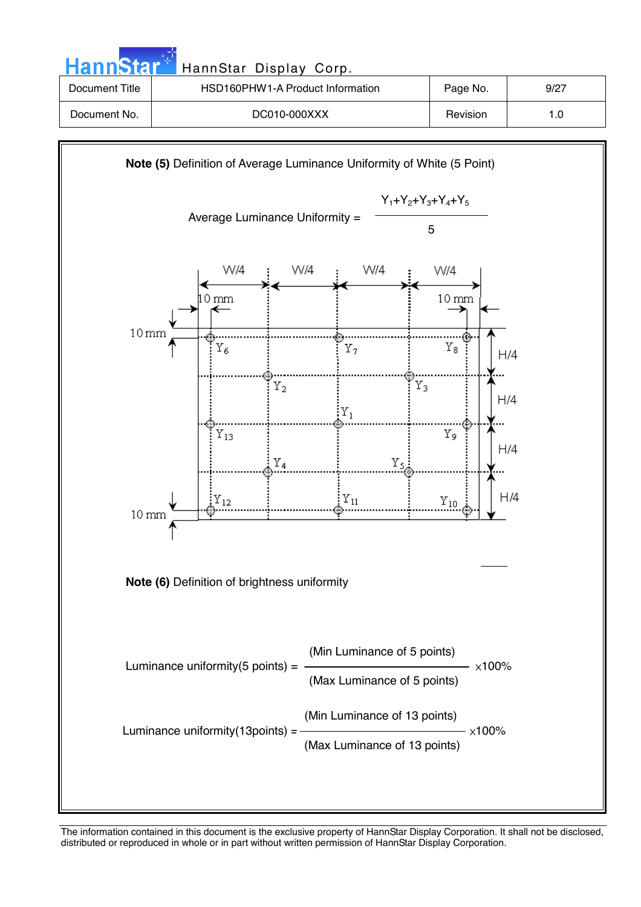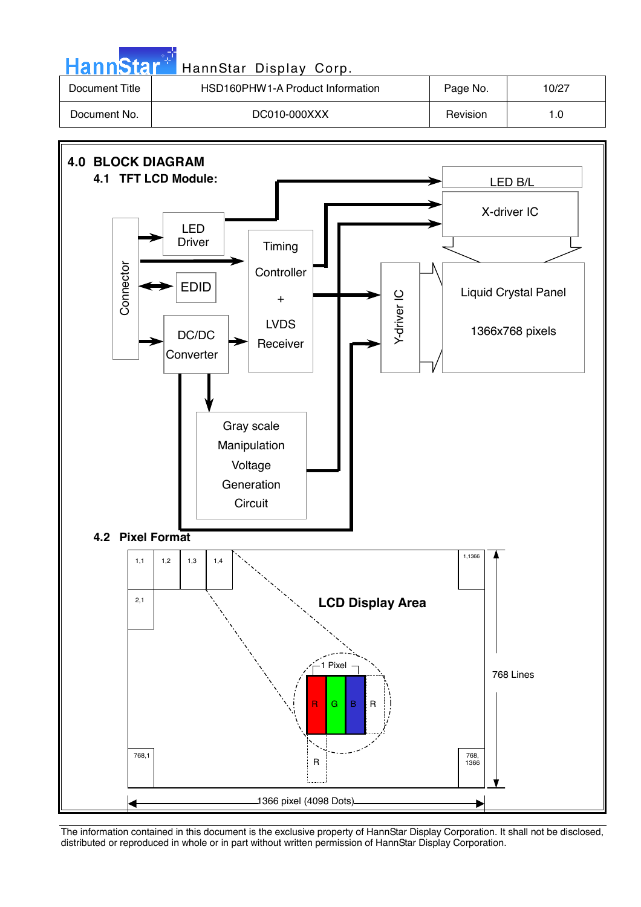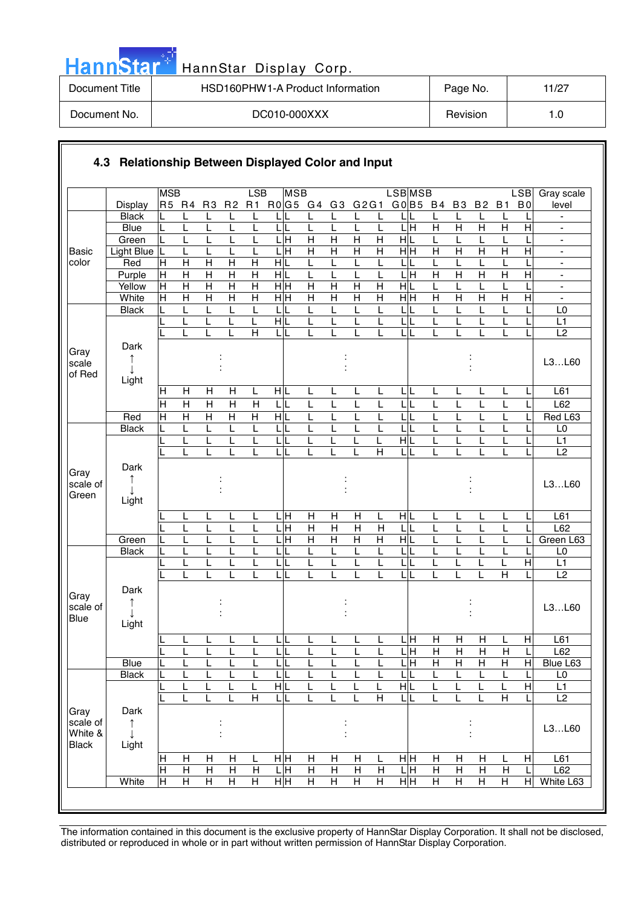| HannStar <sup>*</sup> | HannStar Display Corp.           |          |       |
|-----------------------|----------------------------------|----------|-------|
| Document Title        | HSD160PHW1-A Product Information | Page No. | 11/27 |
| Document No.          | DC010-000XXX                     | Revision | 1.0   |

a sa Tanzania

|                     |                   | <b>MSB</b>                    |                                  |                                           |                                             | LSB                                         | <b>MSB</b>                      |                                             |                              |                         |                         | <b>LSBMSB</b>                                              |          |                         |                              |                                  |                         | <b>LSB</b>              | Gray scale                                     |
|---------------------|-------------------|-------------------------------|----------------------------------|-------------------------------------------|---------------------------------------------|---------------------------------------------|---------------------------------|---------------------------------------------|------------------------------|-------------------------|-------------------------|------------------------------------------------------------|----------|-------------------------|------------------------------|----------------------------------|-------------------------|-------------------------|------------------------------------------------|
|                     | <b>Display</b>    |                               | R5 R4                            | R <sub>3</sub>                            | R <sub>2</sub>                              | R1                                          | R0G5 G4 G3 G2G1                 |                                             |                              |                         |                         |                                                            | G0 B5 B4 |                         | <b>B3</b>                    | <b>B2</b>                        | <b>B1</b>               | B <sub>0</sub>          | level                                          |
|                     | <b>Black</b>      |                               |                                  | L                                         | L                                           | L                                           |                                 | L                                           |                              | L                       | L                       |                                                            |          |                         | L                            | L                                |                         |                         |                                                |
|                     | <b>Blue</b>       | L                             | L                                | L                                         | L                                           |                                             | L<br>IL                         | L                                           |                              | L                       | L                       | 듴                                                          |          | $\overline{H}$          | $\overline{H}$               | $\overline{H}$                   | $\overline{H}$          | $\overline{H}$          | $\qquad \qquad \blacksquare$                   |
|                     | Green             | L                             | L                                | L                                         | L                                           | L                                           | $L$ H                           | $\overline{H}$                              | $\overline{H}$               | $\overline{\mathsf{H}}$ | $\overline{\mathsf{H}}$ | HL                                                         | L        |                         | L                            | L                                | L                       |                         | $\qquad \qquad \blacksquare$                   |
| <b>Basic</b>        | <b>Light Blue</b> | L                             | L                                | L                                         | L                                           | L                                           | $\overline{\mathbb{H}}$<br>L    | $\overline{H}$                              | $\overline{H}$               | $\overline{H}$          | $\overline{H}$          | $\overline{\overline{H}}$                                  |          | $\overline{\mathsf{H}}$ | H                            | $\overline{H}$                   | $\overline{H}$          | $\overline{H}$          | ÷,                                             |
| color               | Red               | $\overline{H}$                | $\mathsf{H}$                     | $\overline{H}$                            | $\overline{H}$                              | $\overline{H}$                              | HL                              | L                                           | L                            | L                       | L                       | L                                                          | L        |                         | L                            | L                                | L                       |                         | $\qquad \qquad \blacksquare$                   |
|                     | Purple            | $\mathsf H$<br>$\overline{H}$ | $\overline{H}$<br>$\overline{H}$ | $\overline{H}$<br>$\overline{H}$          | $\overline{H}$<br>$\overline{H}$            | $\overline{H}$<br>$\overline{\mathsf{H}}$   | HL                              | L<br>$\overline{H}$                         | L<br>$\overline{\mathsf{H}}$ | L<br>$\overline{H}$     | L<br>$\overline{H}$     | Ε<br>$\mathsf{L}% _{0}\left( \mathsf{L}_{1}\right)$<br>H L |          | $\overline{H}$          | H                            | $\mathsf{H}$                     | $\overline{H}$          | $\overline{H}$          | $\blacksquare$                                 |
|                     | Yellow<br>White   | $\overline{\mathsf{H}}$       | $\overline{H}$                   | $\overline{H}$                            | $\overline{H}$                              | $\overline{H}$                              | $\frac{1}{2}$<br>$\overline{H}$ | $\overline{H}$                              | $\overline{H}$               | $\overline{H}$          | $\overline{H}$          | $\overline{H}$                                             | L        | $\overline{H}$          | L<br>$\overline{\mathsf{H}}$ | L<br>$\overline{H}$              | L<br>$\overline{H}$     | $\overline{\mathsf{H}}$ | $\qquad \qquad \blacksquare$<br>$\blacksquare$ |
|                     | <b>Black</b>      |                               | L                                | L                                         | L                                           | L                                           | LIL                             | L                                           | L                            | L                       | L                       | L                                                          | L        |                         | L                            | L                                | L                       |                         | L <sub>0</sub>                                 |
|                     |                   |                               | L                                | L                                         | L                                           | L                                           | HL                              | L                                           |                              | L                       | L                       | L                                                          | L        |                         | L                            | L                                | L                       |                         | L1                                             |
|                     |                   |                               | L                                | L                                         | L                                           | H                                           | LIL                             | L                                           |                              | L                       | L                       | LL                                                         | L        |                         |                              | L                                | L                       |                         | L2                                             |
|                     | Dark              |                               |                                  |                                           |                                             |                                             |                                 |                                             |                              |                         |                         |                                                            |          |                         |                              |                                  |                         |                         |                                                |
| Gray                | ↑                 |                               |                                  |                                           |                                             |                                             |                                 |                                             |                              |                         |                         |                                                            |          |                         |                              |                                  |                         |                         |                                                |
| scale               |                   |                               |                                  |                                           |                                             |                                             |                                 |                                             |                              |                         |                         |                                                            |          |                         |                              |                                  |                         |                         | L3L60                                          |
| of Red              | Light             |                               |                                  |                                           |                                             |                                             |                                 |                                             |                              |                         |                         |                                                            |          |                         |                              |                                  |                         |                         |                                                |
|                     |                   | Η                             | Н                                | $\mathsf{H}$                              | Н                                           | L                                           | HIL                             | L                                           | L                            | L                       | L                       | LIL                                                        | L        |                         | L                            | L                                | L                       |                         | L61                                            |
|                     |                   | $\overline{H}$                | $\overline{H}$                   | $\overline{H}$                            | $\overline{\mathsf{H}}$                     | $\overline{H}$                              | LL                              | L                                           | L                            | L                       | L                       | L                                                          | L        |                         | L                            | L                                | L                       |                         | L62                                            |
|                     | Red               | H                             | $\overline{H}$                   | $\overline{H}$                            | $\overline{H}$                              | $\boldsymbol{\mathsf{H}}$                   | HL                              | L                                           | L                            | L                       | L                       | $\mathsf{L}% _{0}\left( \mathsf{L}_{1}\right)$             | L        |                         | L                            | L                                | L                       |                         | Red L63                                        |
|                     | <b>Black</b>      | L                             | L                                | L                                         | L                                           | L                                           | LIL                             | L                                           | L                            | L                       | L                       | L                                                          | L        |                         | L                            | L                                | L                       |                         | L0                                             |
|                     |                   |                               |                                  | L                                         |                                             |                                             | LL                              | L                                           |                              |                         | L                       | HL                                                         |          |                         |                              | L                                | L                       |                         | L1                                             |
|                     |                   |                               |                                  |                                           |                                             |                                             | LIL                             | L                                           |                              |                         | $\overline{H}$          | LIL                                                        |          |                         |                              | L                                |                         |                         | $\overline{L2}$                                |
|                     | Dark              |                               |                                  |                                           |                                             |                                             |                                 |                                             |                              |                         |                         |                                                            |          |                         |                              |                                  |                         |                         |                                                |
| Gray<br>scale of    | ↑                 |                               |                                  |                                           |                                             |                                             |                                 |                                             |                              |                         |                         |                                                            |          |                         |                              |                                  |                         |                         | L3L60                                          |
| Green               |                   |                               |                                  |                                           |                                             |                                             |                                 |                                             |                              |                         |                         |                                                            |          |                         |                              |                                  |                         |                         |                                                |
|                     | Light             |                               |                                  |                                           |                                             |                                             |                                 |                                             |                              |                         |                         |                                                            |          |                         |                              |                                  |                         |                         |                                                |
|                     |                   |                               | L                                | L                                         | L                                           | L                                           | L H                             | H                                           | H                            | $\mathsf{H}$            | L                       | H L                                                        | L        |                         | L                            | L                                | L                       |                         | L61                                            |
|                     |                   |                               | L                                | L                                         | L                                           | L                                           | Ξ<br>L                          | $\overline{H}$                              | $\overline{H}$               | H                       | $\overline{H}$          | L                                                          | L        |                         | L                            | L                                | L                       |                         | L62                                            |
|                     | Green             | L                             | L                                | L                                         | L                                           | L                                           | 믘                               | $\overline{H}$                              | $\overline{H}$               | $\overline{H}$          | Η                       | H L                                                        | L        |                         | L                            | L                                | L                       |                         | Green L63                                      |
|                     | <b>Black</b>      | L                             | L                                | L                                         |                                             | L                                           | LL                              | L                                           | L                            | L                       | L                       | LL                                                         | L        |                         | L                            | L                                | L                       |                         | L0                                             |
|                     |                   |                               | L                                | L                                         |                                             | L                                           | LIL                             | L                                           | L                            | L                       | L                       | LL                                                         | L        |                         |                              | L                                | L                       | $\overline{H}$          | L1                                             |
|                     |                   |                               |                                  |                                           |                                             |                                             | L                               |                                             |                              |                         | L                       | LIL                                                        |          |                         |                              |                                  | $\overline{H}$          |                         | $\overline{L2}$                                |
| Gray                | Dark              |                               |                                  |                                           |                                             |                                             |                                 |                                             |                              |                         |                         |                                                            |          |                         |                              |                                  |                         |                         |                                                |
| scale of            | ↑                 |                               |                                  |                                           |                                             |                                             |                                 |                                             |                              |                         |                         |                                                            |          |                         |                              |                                  |                         |                         | L3L60                                          |
| <b>Blue</b>         | T                 |                               |                                  |                                           |                                             |                                             |                                 |                                             |                              |                         |                         |                                                            |          |                         |                              |                                  |                         |                         |                                                |
|                     | Light             |                               |                                  |                                           |                                             |                                             |                                 |                                             |                              |                         |                         |                                                            |          |                         |                              |                                  |                         |                         |                                                |
|                     |                   | L                             | L                                | L                                         | L                                           | L                                           | τL                              | L                                           | L                            | L                       | L                       | $L$ H                                                      |          | $\overline{H}$          | $\overline{H}$               | $\overline{H}$                   | L                       | $\overline{H}$          | L61                                            |
|                     |                   |                               | L                                | L                                         | L                                           | L                                           | LL                              | Ĺ                                           |                              | L                       | L                       | $\overline{\mathsf{L}}\overline{\mathsf{H}}$               |          | н                       | $\overline{H}$               | $\mathsf{H}$                     | $\overline{H}$          |                         | L62                                            |
|                     | <b>Blue</b>       | L                             | L                                | L                                         | L                                           | L                                           | LIL                             | L                                           | L                            | L                       | L                       | $L \overline{H}$                                           |          | $\overline{H}$          | H                            | $\overline{H}$                   | Н                       | $\mathsf{H}$            | Blue L63                                       |
|                     | <b>Black</b>      | L                             | L                                | L                                         | L                                           | L                                           | LIL                             | L                                           |                              | L                       | L                       | L                                                          | L        |                         | L                            | L                                | L                       |                         | L <sub>0</sub>                                 |
|                     |                   |                               | L                                | L                                         | L                                           | L                                           | HL                              | L                                           |                              |                         | L                       | H L                                                        | L        |                         | L                            | L                                | L                       | $\overline{H}$          | L1                                             |
|                     |                   |                               | L                                | L                                         | L                                           | $\overline{H}$                              | LL                              | L                                           |                              | L                       | $\overline{\mathsf{H}}$ | LL                                                         | L        |                         |                              | L                                | $\overline{H}$          |                         | $\overline{L2}$                                |
| Gray                | Dark              |                               |                                  |                                           |                                             |                                             |                                 |                                             |                              |                         |                         |                                                            |          |                         |                              |                                  |                         |                         |                                                |
| scale of<br>White & | $\uparrow$        |                               |                                  |                                           |                                             |                                             |                                 |                                             |                              |                         |                         |                                                            |          |                         |                              |                                  |                         |                         | L3L60                                          |
| <b>Black</b>        | T<br>Light        |                               |                                  |                                           |                                             |                                             |                                 |                                             |                              |                         |                         |                                                            |          |                         |                              |                                  |                         |                         |                                                |
|                     |                   |                               |                                  |                                           |                                             |                                             |                                 |                                             |                              |                         |                         |                                                            |          |                         |                              |                                  |                         |                         |                                                |
|                     |                   | Н<br>$\overline{\mathsf{H}}$  | Н<br>$\overline{H}$              | Н                                         | $\boldsymbol{\mathsf{H}}$<br>$\overline{H}$ | L                                           | нĮн<br>LН                       | $\boldsymbol{\mathsf{H}}$<br>$\overline{H}$ | H<br>$\overline{H}$          | Н<br>$\overline{H}$     | L<br>$\overline{H}$     | HH<br>LН                                                   |          | H<br>$\overline{H}$     | Н<br>$\overline{H}$          | Н                                | L<br>$\overline{H}$     | н                       | L61<br>L62                                     |
|                     | White             | $\overline{\mathsf{H}}$       | $\overline{H}$                   | $\overline{H}$<br>$\overline{\mathsf{H}}$ | $\overline{\mathsf{H}}$                     | $\boldsymbol{\mathsf{H}}$<br>$\overline{H}$ | H H                             | $\overline{H}$                              | $\overline{H}$               | Η                       | $\overline{\mathsf{H}}$ | $\frac{1}{2}$                                              |          | $\overline{H}$          | $\overline{H}$               | $\overline{H}$<br>$\overline{H}$ | $\overline{\mathsf{H}}$ | H                       | White L63                                      |
|                     |                   |                               |                                  |                                           |                                             |                                             |                                 |                                             |                              |                         |                         |                                                            |          |                         |                              |                                  |                         |                         |                                                |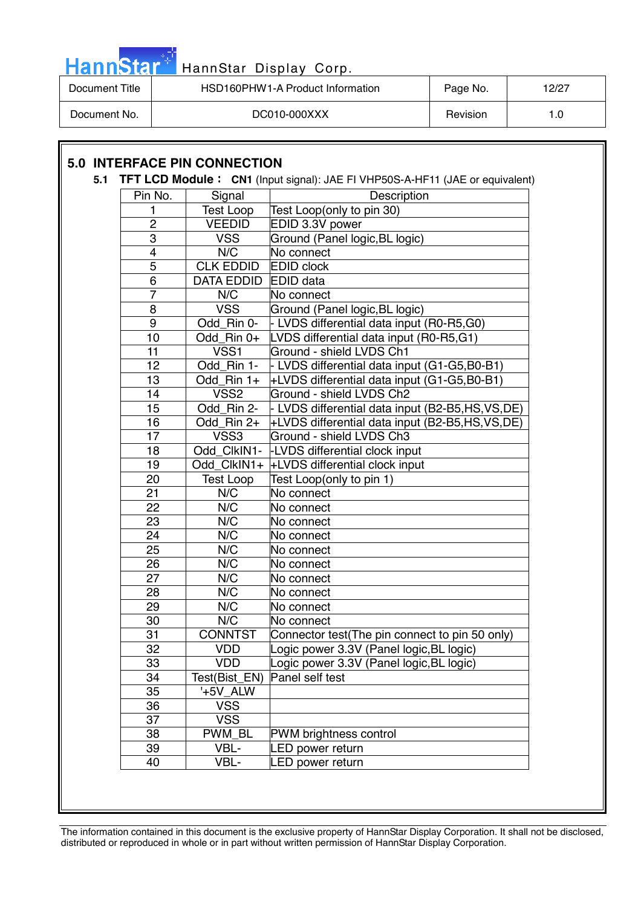|  |  | HannStar <sup>*</sup> |  |
|--|--|-----------------------|--|
|  |  |                       |  |
|  |  |                       |  |

# HannStar Display Corp.

| Document Title | HSD160PHW1-A Product Information | Page No.        | 12/27 |
|----------------|----------------------------------|-----------------|-------|
| Document No.   | DC010-000XXX                     | <b>Revision</b> |       |

# **5.0 INTERFACE PIN CONNECTION**

#### **5.1 TFT LCD Module: CN1** (Input signal): JAE FI VHP50S-A-HF11 (JAE or equivalent)

| Pin No.        | Signal            | Description                                     |
|----------------|-------------------|-------------------------------------------------|
| 1              | <b>Test Loop</b>  | Test Loop(only to pin 30)                       |
| $\overline{2}$ | <b>VEEDID</b>     | EDID 3.3V power                                 |
| 3              | <b>VSS</b>        | Ground (Panel logic, BL logic)                  |
| 4              | N/C               | No connect                                      |
| $\overline{5}$ | <b>CLK EDDID</b>  | <b>EDID clock</b>                               |
| 6              | <b>DATA EDDID</b> | <b>EDID</b> data                                |
| $\overline{7}$ | N/C               | No connect                                      |
| 8              | <b>VSS</b>        | Ground (Panel logic, BL logic)                  |
| $\overline{9}$ | Odd Rin 0-        | - LVDS differential data input (R0-R5,G0)       |
| 10             | Odd Rin 0+        | LVDS differential data input (R0-R5,G1)         |
| 11             | VSS1              | Ground - shield LVDS Ch1                        |
| 12             | Odd Rin 1-        | - LVDS differential data input (G1-G5,B0-B1)    |
| 13             | Odd_Rin 1+        | +LVDS differential data input (G1-G5,B0-B1)     |
| 14             | VSS <sub>2</sub>  | Ground - shield LVDS Ch2                        |
| 15             | Odd Rin 2-        | L LVDS differential data input (B2-B5,HS,VS,DE) |
| 16             | Odd_Rin 2+        | +LVDS differential data input (B2-B5,HS,VS,DE)  |
| 17             | VSS3              | Ground - shield LVDS Ch3                        |
| 18             | Odd ClkIN1-       | <b>-LVDS differential clock input</b>           |
| 19             | Odd ClkIN1+       | +LVDS differential clock input                  |
| 20             | <b>Test Loop</b>  | Test Loop(only to pin 1)                        |
| 21             | N/C               | No connect                                      |
| 22             | N/C               | No connect                                      |
| 23             | N/C               | No connect                                      |
| 24             | N/C               | No connect                                      |
| 25             | N/C               | No connect                                      |
| 26             | N/C               | No connect                                      |
| 27             | N/C               | No connect                                      |
| 28             | N/C               | No connect                                      |
| 29             | N/C               | No connect                                      |
| 30             | N/C               | No connect                                      |
| 31             | <b>CONNTST</b>    | Connector test(The pin connect to pin 50 only)  |
| 32             | <b>VDD</b>        | ogic power 3.3V (Panel logic, BL logic)         |
| 33             | <b>VDD</b>        | Logic power 3.3V (Panel logic, BL logic)        |
| 34             | Test(Bist_EN)     | Panel self test                                 |
| 35             | '+5V ALW          |                                                 |
| 36             | <b>VSS</b>        |                                                 |
| 37             | <b>VSS</b>        |                                                 |
| 38             | PWM BL            | <b>PWM brightness control</b>                   |
| 39             | VBL-              | <b>LED power return</b>                         |
| 40             | VBL-              | <b>LED power return</b>                         |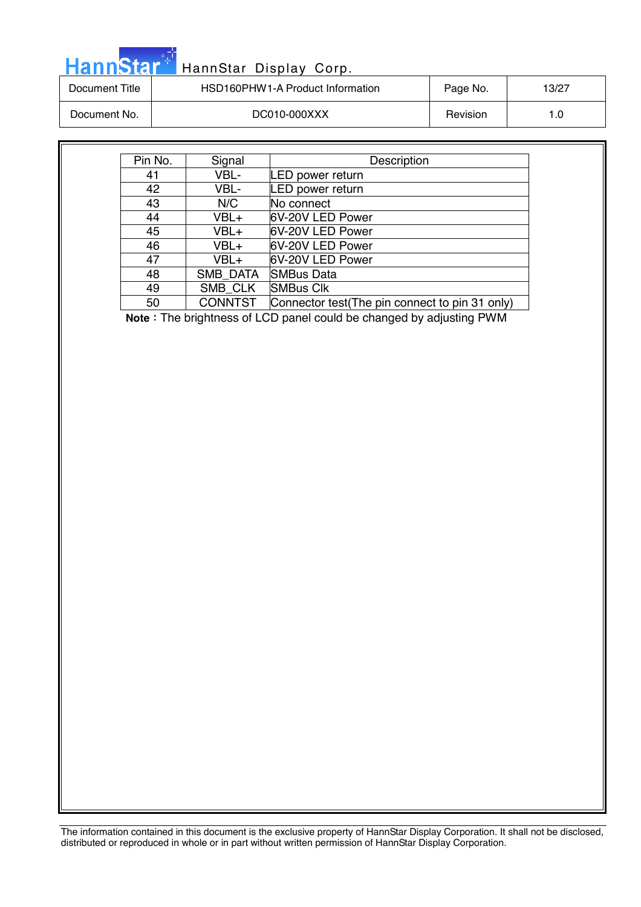| <b>HannStar</b> * | HannStar Display Corp.           |          |       |
|-------------------|----------------------------------|----------|-------|
| Document Title    | HSD160PHW1-A Product Information | Page No. | 13/27 |
| Document No.      | DC010-000XXX                     | Revision | 1.0   |
|                   |                                  |          |       |

| Pin No. | Signal         | Description                                    |
|---------|----------------|------------------------------------------------|
| 41      | VBL-           | LED power return                               |
| 42      | VBL-           | LED power return                               |
| 43      | N/C            | No connect                                     |
| 44      | VBL+           | 6V-20V LED Power                               |
| 45      | VBL+           | 6V-20V LED Power                               |
| 46      | VBL+           | 6V-20V LED Power                               |
| 47      | VBL+           | 6V-20V LED Power                               |
| 48      | SMB DATA       | <b>SMBus Data</b>                              |
| 49      | SMB CLK        | <b>SMBus Clk</b>                               |
| 50      | <b>CONNTST</b> | Connector test(The pin connect to pin 31 only) |

**Note**: The brightness of LCD panel could be changed by adjusting PWM

The information contained in this document is the exclusive property of HannStar Display Corporation. It shall not be disclosed,

distributed or reproduced in whole or in part without written permission of HannStar Display Corporation.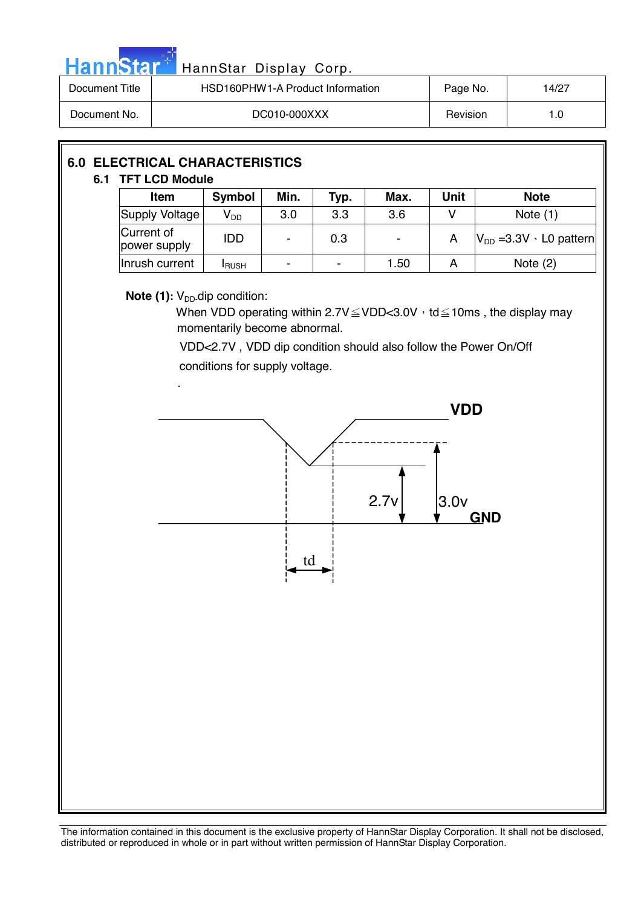| <b>HannStar</b> | HannStar Display Corp.                        |          |       |  |  |  |
|-----------------|-----------------------------------------------|----------|-------|--|--|--|
| Document Title  | HSD160PHW1-A Product Information              | Page No. | 14/27 |  |  |  |
| Document No.    | DC010-000XXX                                  | Revision | 1.0   |  |  |  |
|                 |                                               |          |       |  |  |  |
|                 | <b>6.0 ELECTRICAL CHARACTERISTICS</b><br>____ |          |       |  |  |  |

# **6.1 TFT LCD Module**

| Item                       | <b>Symbol</b> | Min.                     | Typ. | Max.                     | Unit | <b>Note</b>                        |
|----------------------------|---------------|--------------------------|------|--------------------------|------|------------------------------------|
| Supply Voltage             | $V_{DD}$      | 3.0                      | 3.3  | 3.6                      |      | Note $(1)$                         |
| Current of<br>power supply | <b>IDD</b>    | $\blacksquare$           | 0.3  | $\overline{\phantom{a}}$ |      | $ V_{DD}$ =3.3V $\cdot$ L0 pattern |
| Inrush current             | <b>I</b> RUSH | $\overline{\phantom{a}}$ | ۰    | 1.50                     |      | Note $(2)$                         |

## **Note (1):** V<sub>DD</sub>-dip condition:

.

When VDD operating within 2.7V $\leq$ VDD<3.0V  $\cdot$  td $\leq$ 10ms, the display may momentarily become abnormal.

 VDD<2.7V , VDD dip condition should also follow the Power On/Off conditions for supply voltage.

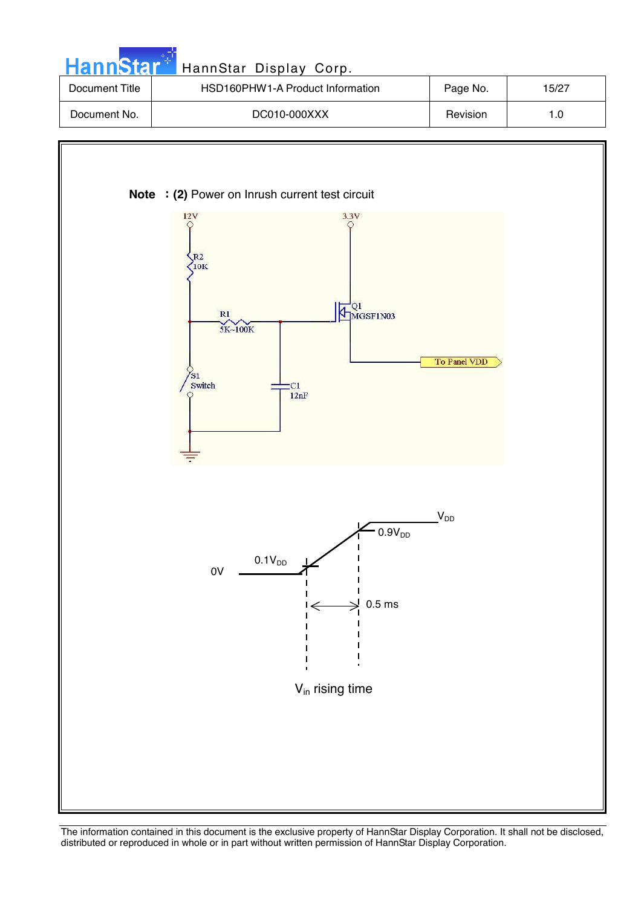



Vin rising time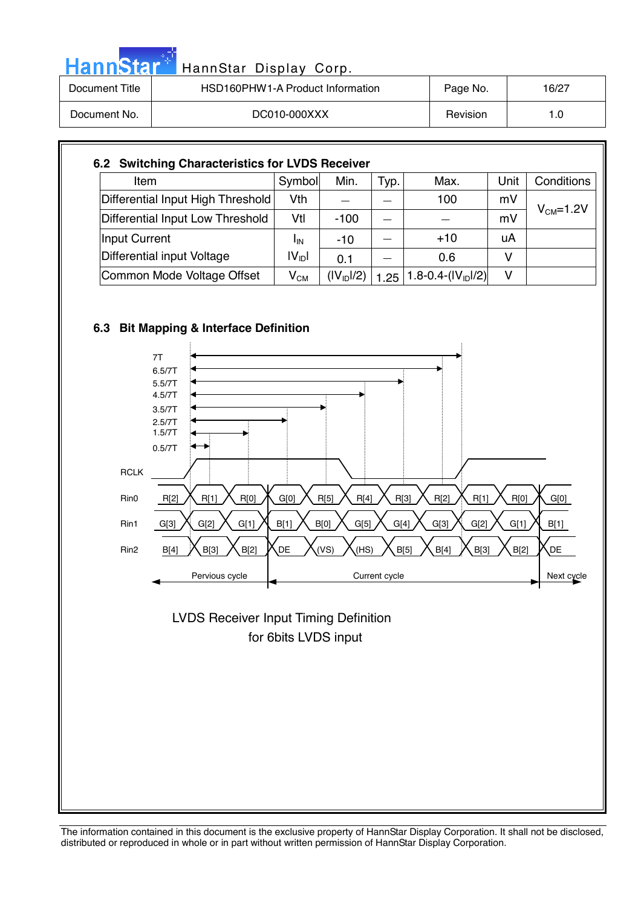| HannStar <sup>*</sup> | HannStar Display Corp.           |          |       |
|-----------------------|----------------------------------|----------|-------|
| Document Title        | HSD160PHW1-A Product Information | Page No. | 16/27 |
| Document No.          | DC010-000XXX                     | Revision | 1.0   |

#### **6.2 Switching Characteristics for LVDS Receiver**  Item Symbol Min. Typ. Max. Unit Conditions Differential Input High Threshold Vth Ё Ё 100 mV Differential Input Low Threshold | Vtl | -100  $|$   $-$  |  $-$  | mV  $V_{CM} = 1.2V$ Input Current  $I_{\text{IN}}$   $I_{\text{IN}}$   $-10$   $-1$   $+10$   $\mu$ A Differential input Voltage  $I_{IN}$  $|V_{\text{ID}}|$  0.1  $| - | 0.6 | V$ Common Mode Voltage Offset  $|V_{CM}| (|V_{ID}|/2) | 1.25 | 1.8-0.4- (|V_{ID}|/2) | V$

# **6.3 Bit Mapping & Interface Definition**



 for 6bits LVDS input LVDS Receiver Input Timing Definition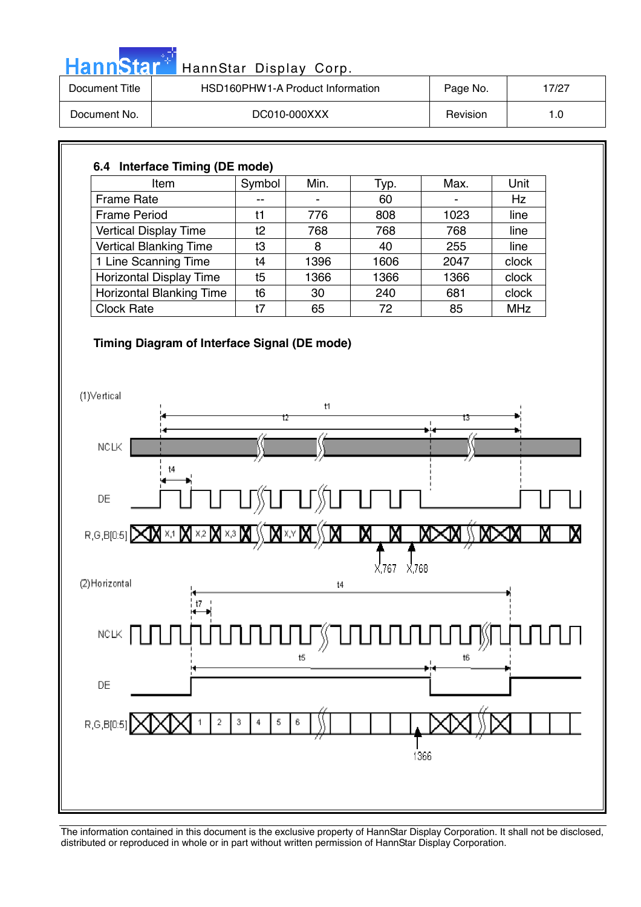| <b>HannStar</b> | HannStar Display Corp.           |          |       |
|-----------------|----------------------------------|----------|-------|
| Document Title  | HSD160PHW1-A Product Information | Page No. | 17/27 |
| Document No.    | DC010-000XXX                     | Revision | 1.0   |

# **6.4 Interface Timing (DE mode)**  Item | Symbol | Min. | Typ. | Max. | Unit Frame Rate  $\begin{vmatrix} -1 & -1 & -1 \\ -1 & -1 & -1 \end{vmatrix}$  60  $\begin{vmatrix} -1 & -1 & -1 \\ -1 & -1 & -1 \end{vmatrix}$  Hz Frame Period  $\begin{vmatrix} 11 & 776 & 808 & 1023 \end{vmatrix}$  line Vertical Display Time t2 768 768 768 line Vertical Blanking Time  $\begin{array}{|c|c|c|c|c|c|c|c|c|} \hline \end{array}$  8  $\begin{array}{|c|c|c|c|c|c|c|c|} \hline \end{array}$  40  $\begin{array}{|c|c|c|c|c|c|c|c|} \hline \end{array}$  255  $\begin{array}{|c|c|c|c|c|c|c|c|c|} \hline \end{array}$  line 1 Line Scanning Time t4 1396 1606 2047 clock Horizontal Display Time t5 1366 1366 1366 clock Horizontal Blanking Time t6 30 240 681 clock Clock Rate t7 65 72 85 MHz

#### **Timing Diagram of Interface Signal (DE mode)**

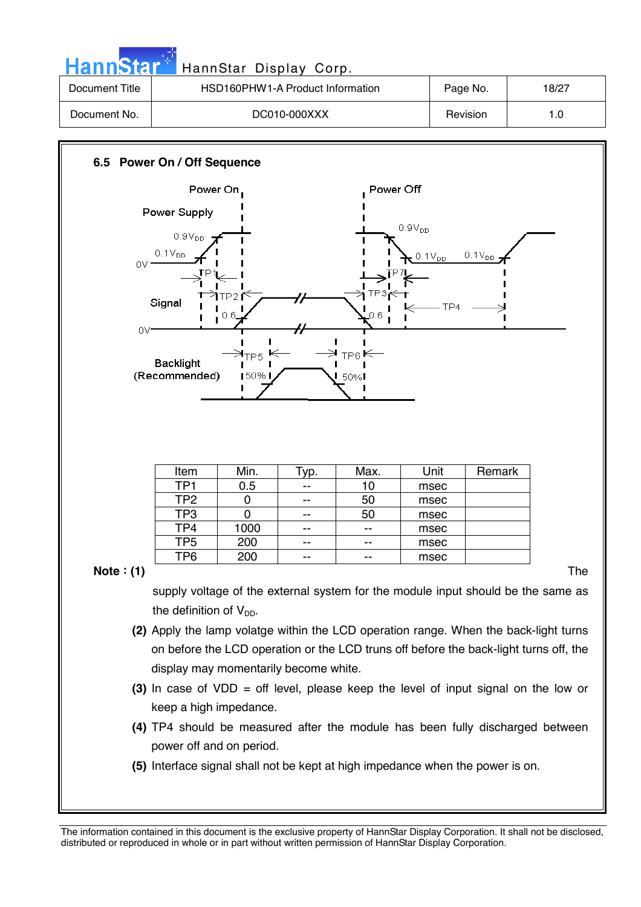| <b>HannStar</b> | HannStar Display Corp.           |          |       |
|-----------------|----------------------------------|----------|-------|
| Document Title  | HSD160PHW1-A Product Information | Page No. | 18/27 |
| Document No.    | DC010-000XXX                     | Revision | 1.0   |
|                 |                                  |          |       |

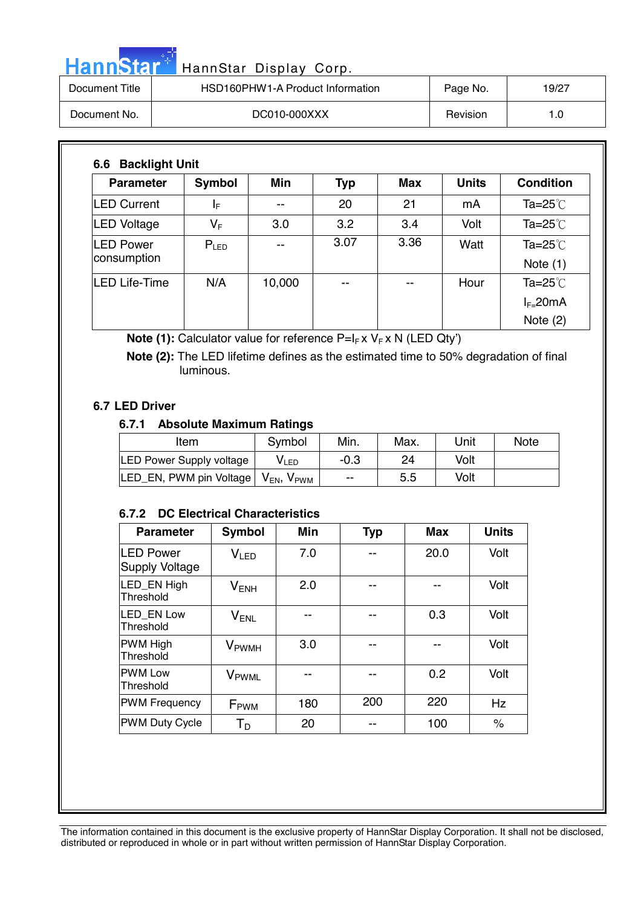|                | HannStar <sup>+</sup> HannStar Display Corp. |          |       |
|----------------|----------------------------------------------|----------|-------|
| Document Title | HSD160PHW1-A Product Information             | Page No. | 19/27 |

| -------------- |              | .        | .     |
|----------------|--------------|----------|-------|
| Document No.   | DC010-000XXX | Revision | . . v |

| <b>Parameter</b>                 | Symbol    | <b>Min</b> | <b>Typ</b> | <b>Max</b> | <b>Units</b> | <b>Condition</b>         |
|----------------------------------|-----------|------------|------------|------------|--------------|--------------------------|
| <b>LED Current</b>               | ΙF        | --         | 20         | 21         | mA           | Ta= $25^{\circ}$ C       |
| <b>LED Voltage</b>               | $V_F$     | 3.0        | 3.2        | 3.4        | Volt         | Ta= $25^{\circ}$ C       |
| <b>ILED Power</b><br>consumption | $P_{LED}$ | --         | 3.07       | 3.36       | Watt         | Ta=25 $°C$<br>Note $(1)$ |
| LED Life-Time                    | N/A       | 10,000     | --         | --         | Hour         | Ta=25 $°C$               |
|                                  |           |            |            |            |              | $I_{F=}$ 20mA            |
|                                  |           |            |            |            |              | Note $(2)$               |

**Note (1):** Calculator value for reference P=I<sub>F</sub> x V<sub>F</sub> x N (LED Qty')

 **Note (2):** The LED lifetime defines as the estimated time to 50% degradation of final luminous.

#### **6.7 LED Driver**

### **6.7.1 Absolute Maximum Ratings**

| Item                            | Symbol               | Min.   | Max. | Unit | <b>Note</b> |
|---------------------------------|----------------------|--------|------|------|-------------|
| <b>LED Power Supply voltage</b> | VLED                 | $-0.3$ | 24   | Volt |             |
| LED EN, PWM pin Voltage         | $V_{EN}$ , $V_{PWM}$ | $- -$  | 5.5  | Volt |             |

### **6.7.2 DC Electrical Characteristics**

| <b>Parameter</b>                          | <b>Symbol</b>            | Min | <b>Typ</b> | <b>Max</b> | <b>Units</b> |
|-------------------------------------------|--------------------------|-----|------------|------------|--------------|
| <b>LED Power</b><br><b>Supply Voltage</b> | V <sub>LED</sub>         | 7.0 |            | 20.0       | Volt         |
| LED EN High<br>Threshold                  | $V_{ENH}$                | 2.0 |            |            | Volt         |
| LED EN Low<br>Threshold                   | $V_{ENL}$                |     |            | 0.3        | Volt         |
| <b>PWM High</b><br>Threshold              | <b>V</b> <sub>PWMH</sub> | 3.0 |            |            | Volt         |
| <b>PWM Low</b><br>Threshold               | V <sub>PWML</sub>        |     | --         | 0.2        | Volt         |
| <b>PWM Frequency</b>                      | F <sub>PWM</sub>         | 180 | 200        | 220        | Hz           |
| <b>PWM Duty Cycle</b>                     | $T_D$                    | 20  |            | 100        | $\%$         |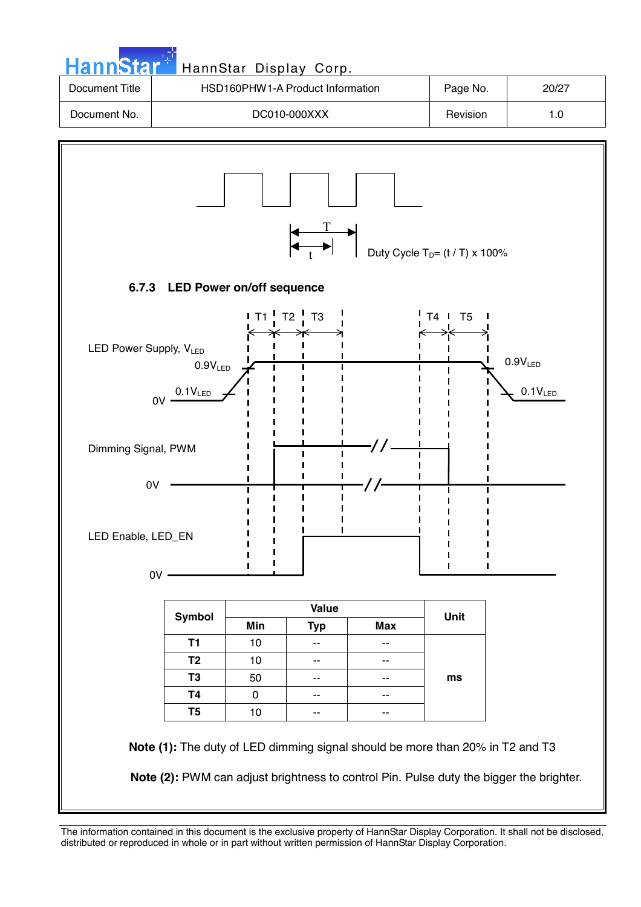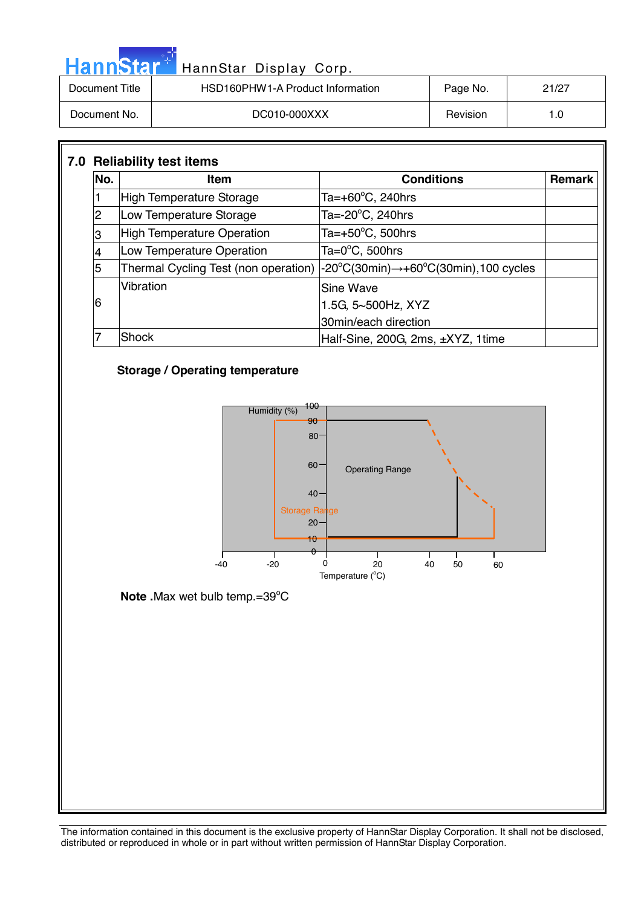| HannStar <sup>+</sup> | HannStar Display Corp.           |          |       |
|-----------------------|----------------------------------|----------|-------|
| Document Title        | HSD160PHW1-A Product Information | Page No. | 21/27 |
| Document No.          | DC010-000XXX                     | Revision | 1.0   |

| No. | <b>Item</b>                          | <b>Conditions</b>                                                                       | <b>Remark</b> |
|-----|--------------------------------------|-----------------------------------------------------------------------------------------|---------------|
|     | High Temperature Storage             | Ta=+60 $^{\circ}$ C, 240hrs                                                             |               |
| 2   | Low Temperature Storage              | Ta=- $20^{\circ}$ C, 240hrs                                                             |               |
| 3   | <b>High Temperature Operation</b>    | Ta=+50 $^{\circ}$ C, 500hrs                                                             |               |
|     | Low Temperature Operation            | Ta= $0^{\circ}$ C, 500hrs                                                               |               |
| 5   | Thermal Cycling Test (non operation) | $-20^{\circ}C(30\text{min}) \rightarrow +60^{\circ}C(30\text{min}), 100 \text{ cycles}$ |               |
|     | Vibration                            | Sine Wave                                                                               |               |
| 6   |                                      | 1.5G, 5~500Hz, XYZ                                                                      |               |
|     |                                      | 30min/each direction                                                                    |               |
|     | Shock                                | Half-Sine, 200G, 2ms, ±XYZ, 1time                                                       |               |

## **Storage / Operating temperature**



Note .Max wet bulb temp.=39°C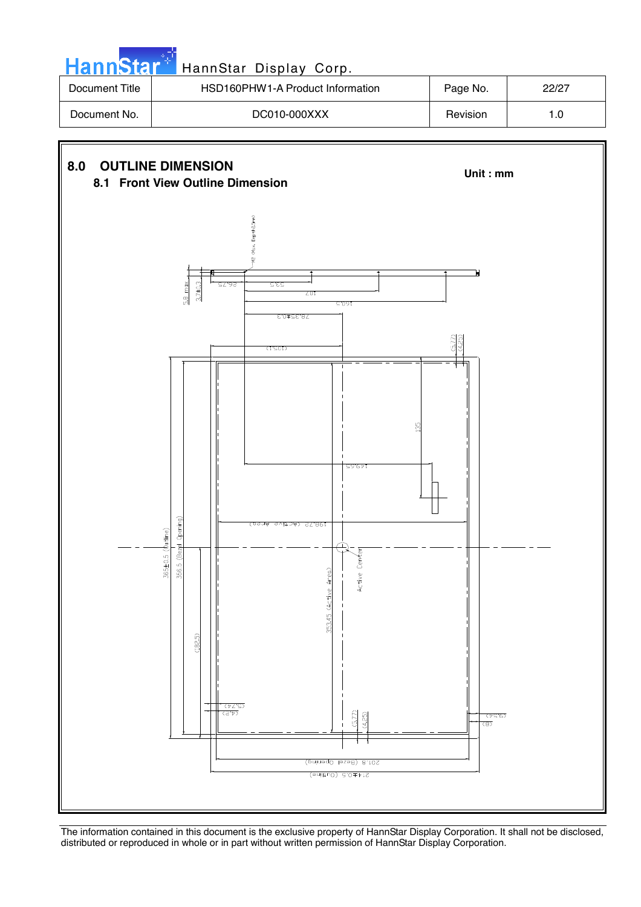| <b>HannStar</b> | HannStar Display Corp.           |          |       |
|-----------------|----------------------------------|----------|-------|
| Document Title  | HSD160PHW1-A Product Information | Page No. | 22/27 |
| Document No.    | DC010-000XXX                     | Revision | 1.0   |
|                 |                                  |          |       |

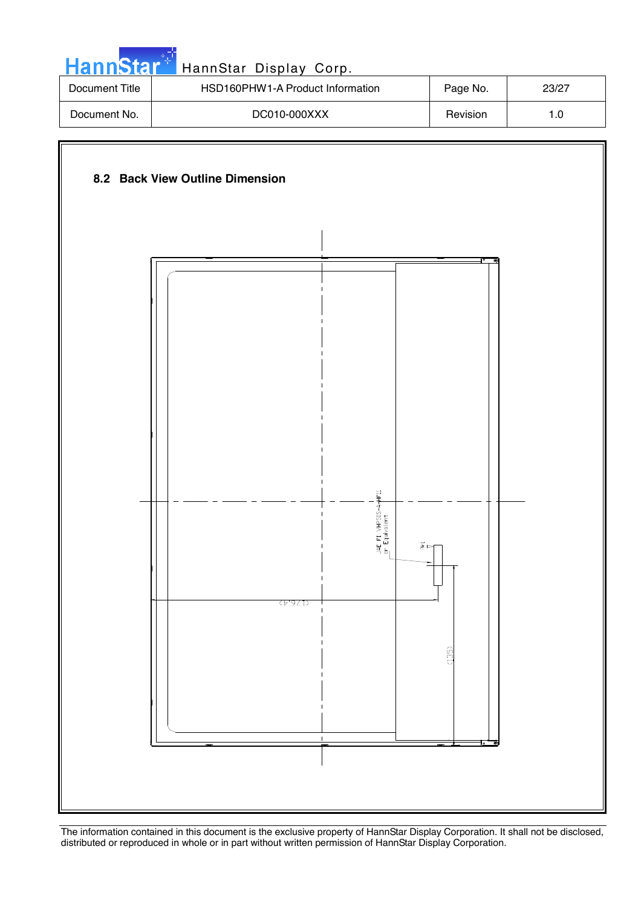| <b>HannStar</b>                 | HannStar Display Corp.           |          |       |  |  |
|---------------------------------|----------------------------------|----------|-------|--|--|
| Document Title                  | HSD160PHW1-A Product Information | Page No. | 23/27 |  |  |
| Document No.                    | DC010-000XXX                     | Revision | 1.0   |  |  |
|                                 |                                  |          |       |  |  |
| 8.2 Back View Outline Dimension |                                  |          |       |  |  |

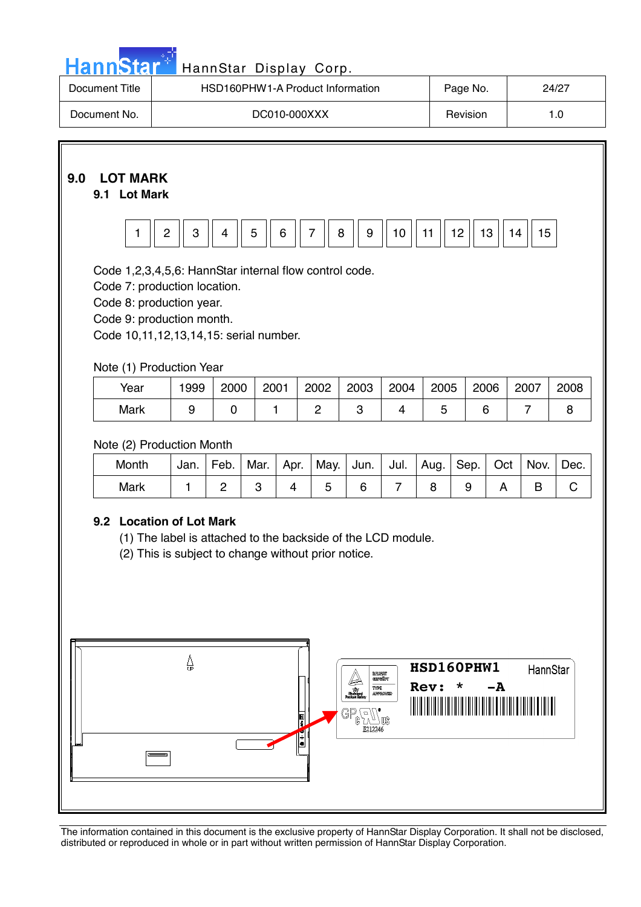| HannStar <sup>*</sup> HannStar Display Corp. |
|----------------------------------------------|
|----------------------------------------------|

| Document Title | HSD160PHW1-A Product Information | Page No. | 24/27 |
|----------------|----------------------------------|----------|-------|
| Document No.   | DC010-000XXX                     | Revision |       |

# **9.0 LOT MARK**

## **9.1 Lot Mark**



Code 1,2,3,4,5,6: HannStar internal flow control code.

Code 7: production location.

Code 8: production year.

Code 9: production month.

Code 10,11,12,13,14,15: serial number.

## Note (1) Production Year

| Year | 1999 | 2000 | 2001 | 2002 | 2003 | 2004 | 2005 | 2006 | 2007 | 2008 |
|------|------|------|------|------|------|------|------|------|------|------|
| Mark |      |      |      |      |      |      |      |      |      |      |

## Note (2) Production Month

| Month | Jan. | Feb. | Mar. | Apr. | May. | Jun. | I Jul. | Aug. | Sep. I | Oct | Nov. | Dec. |
|-------|------|------|------|------|------|------|--------|------|--------|-----|------|------|
| Mark  |      |      |      |      |      |      |        |      |        |     |      |      |

## **9.2 Location of Lot Mark**

(1) The label is attached to the backside of the LCD module.

(2) This is subject to change without prior notice.

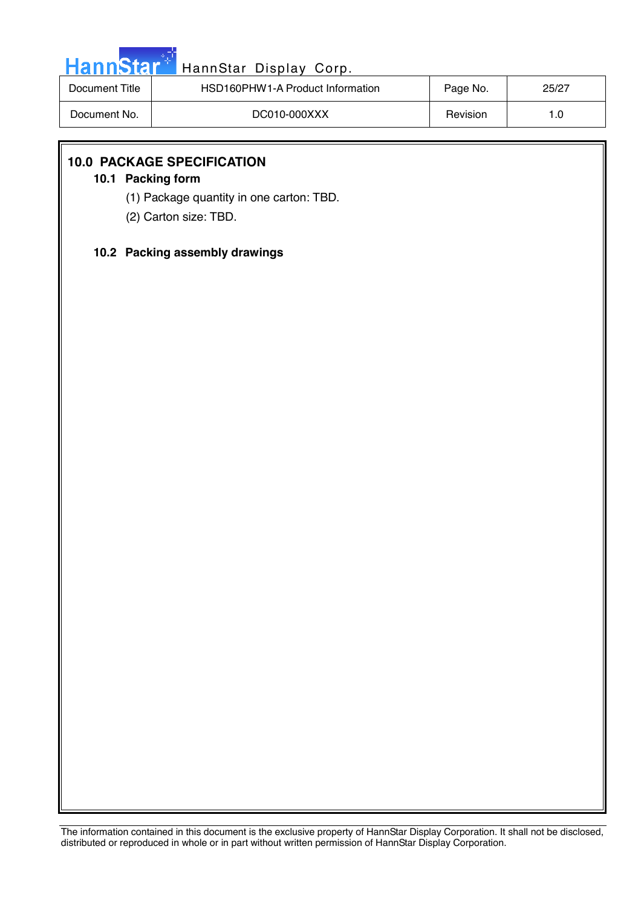| ann |   |  |
|-----|---|--|
|     | Ы |  |

# HannStar Display Corp.

| Document Title | HSD160PHW1-A Product Information | Page No. | 25/27 |
|----------------|----------------------------------|----------|-------|
| Document No.   | DC010-000XXX                     | Revision | 1.0   |

## **10.0 PACKAGE SPECIFICATION**

## **10.1 Packing form**

- (1) Package quantity in one carton: TBD.
- (2) Carton size: TBD.

### **10.2 Packing assembly drawings**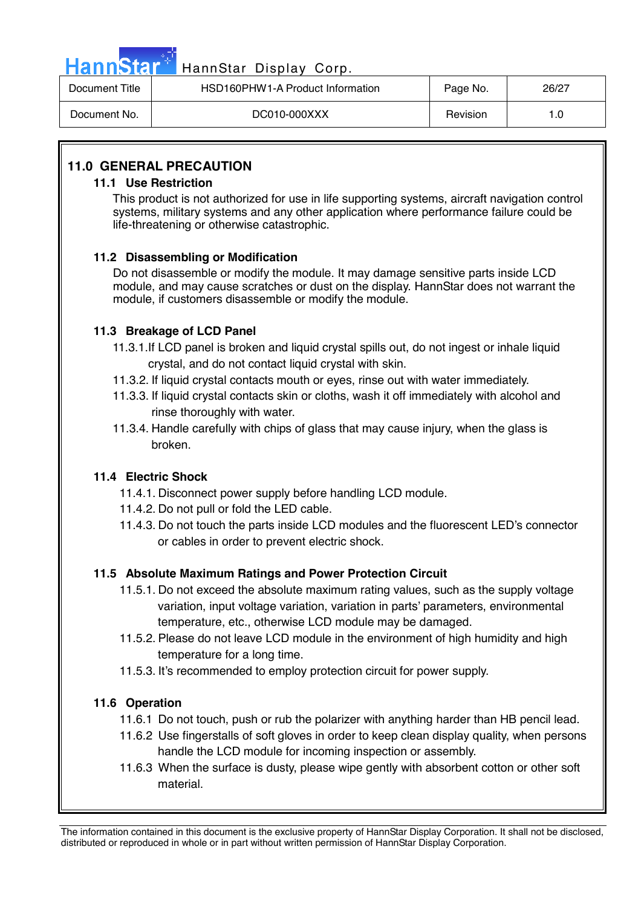| HannStar <sup>+</sup> | HannStar Display Corp.           |          |       |
|-----------------------|----------------------------------|----------|-------|
| Document Title        | HSD160PHW1-A Product Information | Page No. | 26/27 |
| Document No.          | DC010-000XXX                     | Revision | 1.0   |

## **11.0 GENERAL PRECAUTION**

#### **11.1 Use Restriction**

This product is not authorized for use in life supporting systems, aircraft navigation control systems, military systems and any other application where performance failure could be life-threatening or otherwise catastrophic.

#### **11.2 Disassembling or Modification**

 Do not disassemble or modify the module. It may damage sensitive parts inside LCD module, and may cause scratches or dust on the display. HannStar does not warrant the module, if customers disassemble or modify the module.

#### **11.3 Breakage of LCD Panel**

- 11.3.1.If LCD panel is broken and liquid crystal spills out, do not ingest or inhale liquid crystal, and do not contact liquid crystal with skin.
- 11.3.2. If liquid crystal contacts mouth or eyes, rinse out with water immediately.
- 11.3.3. If liquid crystal contacts skin or cloths, wash it off immediately with alcohol and rinse thoroughly with water.
- 11.3.4. Handle carefully with chips of glass that may cause injury, when the glass is broken.

### **11.4 Electric Shock**

- 11.4.1. Disconnect power supply before handling LCD module.
- 11.4.2. Do not pull or fold the LED cable.
- 11.4.3. Do not touch the parts inside LCD modules and the fluorescent LED's connector or cables in order to prevent electric shock.

### **11.5 Absolute Maximum Ratings and Power Protection Circuit**

- 11.5.1. Do not exceed the absolute maximum rating values, such as the supply voltage variation, input voltage variation, variation in parts' parameters, environmental temperature, etc., otherwise LCD module may be damaged.
- 11.5.2. Please do not leave LCD module in the environment of high humidity and high temperature for a long time.
- 11.5.3. It's recommended to employ protection circuit for power supply.

#### **11.6 Operation**

- 11.6.1 Do not touch, push or rub the polarizer with anything harder than HB pencil lead.
- 11.6.2 Use fingerstalls of soft gloves in order to keep clean display quality, when persons handle the LCD module for incoming inspection or assembly.
- 11.6.3 When the surface is dusty, please wipe gently with absorbent cotton or other soft material.